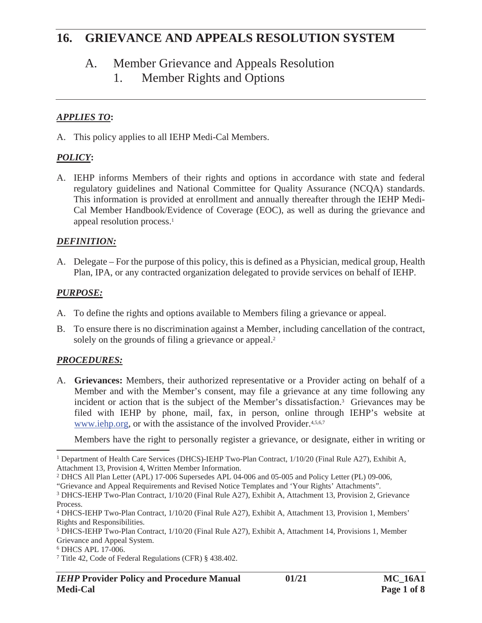#### A. Member Grievance and Appeals Resolution

1. Member Rights and Options

#### *APPLIES TO***:**

A. This policy applies to all IEHP Medi-Cal Members.

#### *POLICY***:**

A. IEHP informs Members of their rights and options in accordance with state and federal regulatory guidelines and National Committee for Quality Assurance (NCQA) standards. This information is provided at enrollment and annually thereafter through the IEHP Medi-Cal Member Handbook/Evidence of Coverage (EOC), as well as during the grievance and appeal resolution process.<sup>1</sup>

#### *DEFINITION:*

A. Delegate – For the purpose of this policy, this is defined as a Physician, medical group, Health Plan, IPA, or any contracted organization delegated to provide services on behalf of IEHP.

#### *PURPOSE:*

- A. To define the rights and options available to Members filing a grievance or appeal.
- B. To ensure there is no discrimination against a Member, including cancellation of the contract, solely on the grounds of filing a grievance or appeal.<sup>2</sup>

#### *PROCEDURES:*

A. **Grievances:** Members, their authorized representative or a Provider acting on behalf of a Member and with the Member's consent, may file a grievance at any time following any incident or action that is the subject of the Member's dissatisfaction.3 Grievances may be filed with IEHP by phone, mail, fax, in person, online through IEHP's website at www.iehp.org, or with the assistance of the involved Provider.<sup>4,5,6,7</sup>

Members have the right to personally register a grievance, or designate, either in writing or

<sup>1</sup> Department of Health Care Services (DHCS)-IEHP Two-Plan Contract, 1/10/20 (Final Rule A27), Exhibit A, Attachment 13, Provision 4, Written Member Information.

<sup>2</sup> DHCS All Plan Letter (APL) 17-006 Supersedes APL 04-006 and 05-005 and Policy Letter (PL) 09-006,

<sup>&</sup>quot;Grievance and Appeal Requirements and Revised Notice Templates and 'Your Rights' Attachments".

<sup>3</sup> DHCS-IEHP Two-Plan Contract, 1/10/20 (Final Rule A27), Exhibit A, Attachment 13, Provision 2, Grievance Process.

<sup>4</sup> DHCS-IEHP Two-Plan Contract, 1/10/20 (Final Rule A27), Exhibit A, Attachment 13, Provision 1, Members' Rights and Responsibilities.

<sup>5</sup> DHCS-IEHP Two-Plan Contract, 1/10/20 (Final Rule A27), Exhibit A, Attachment 14, Provisions 1, Member Grievance and Appeal System.

<sup>6</sup> DHCS APL 17-006.

<sup>7</sup> Title 42, Code of Federal Regulations (CFR) § 438.402.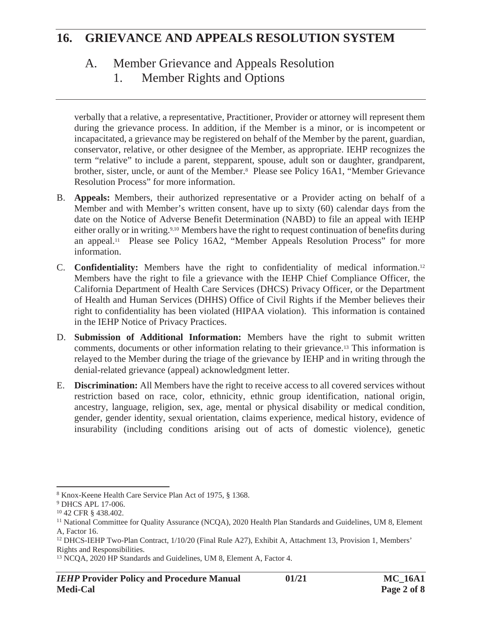### A. Member Grievance and Appeals Resolution

1. Member Rights and Options

verbally that a relative, a representative, Practitioner, Provider or attorney will represent them during the grievance process. In addition, if the Member is a minor, or is incompetent or incapacitated, a grievance may be registered on behalf of the Member by the parent, guardian, conservator, relative, or other designee of the Member, as appropriate. IEHP recognizes the term "relative" to include a parent, stepparent, spouse, adult son or daughter, grandparent, brother, sister, uncle, or aunt of the Member.8 Please see Policy 16A1, "Member Grievance Resolution Process" for more information.

- B. **Appeals:** Members, their authorized representative or a Provider acting on behalf of a Member and with Member's written consent, have up to sixty (60) calendar days from the date on the Notice of Adverse Benefit Determination (NABD) to file an appeal with IEHP either orally or in writing.<sup>9,10</sup> Members have the right to request continuation of benefits during an appeal.11 Please see Policy 16A2, "Member Appeals Resolution Process" for more information.
- C. **Confidentiality:** Members have the right to confidentiality of medical information.12 Members have the right to file a grievance with the IEHP Chief Compliance Officer, the California Department of Health Care Services (DHCS) Privacy Officer, or the Department of Health and Human Services (DHHS) Office of Civil Rights if the Member believes their right to confidentiality has been violated (HIPAA violation). This information is contained in the IEHP Notice of Privacy Practices.
- D. **Submission of Additional Information:** Members have the right to submit written comments, documents or other information relating to their grievance.13 This information is relayed to the Member during the triage of the grievance by IEHP and in writing through the denial-related grievance (appeal) acknowledgment letter.
- E. **Discrimination:** All Members have the right to receive access to all covered services without restriction based on race, color, ethnicity, ethnic group identification, national origin, ancestry, language, religion, sex, age, mental or physical disability or medical condition, gender, gender identity, sexual orientation, claims experience, medical history, evidence of insurability (including conditions arising out of acts of domestic violence), genetic

<sup>8</sup> Knox-Keene Health Care Service Plan Act of 1975, § 1368.

<sup>9</sup> DHCS APL 17-006.

<sup>10 42</sup> CFR § 438.402.

<sup>&</sup>lt;sup>11</sup> National Committee for Quality Assurance (NCQA), 2020 Health Plan Standards and Guidelines, UM 8, Element A, Factor 16.

<sup>12</sup> DHCS-IEHP Two-Plan Contract, 1/10/20 (Final Rule A27), Exhibit A, Attachment 13, Provision 1, Members' Rights and Responsibilities.

<sup>13</sup> NCQA, 2020 HP Standards and Guidelines, UM 8, Element A, Factor 4.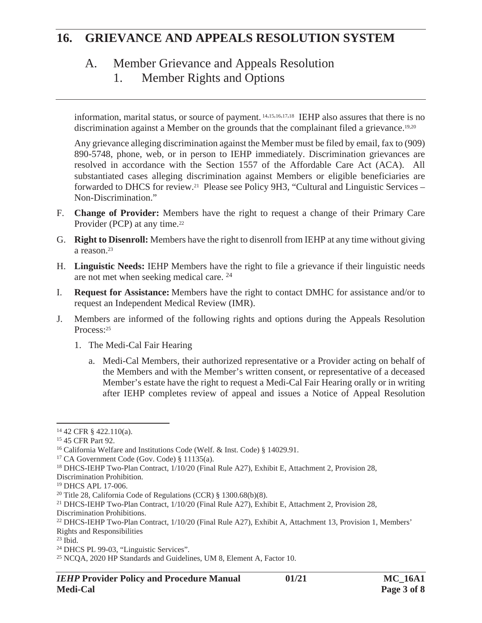## A. Member Grievance and Appeals Resolution

1. Member Rights and Options

information, marital status, or source of payment. 14,15,16,17,18 IEHP also assures that there is no discrimination against a Member on the grounds that the complainant filed a grievance.<sup>19,20</sup>

Any grievance alleging discrimination against the Member must be filed by email, fax to (909) 890-5748, phone, web, or in person to IEHP immediately. Discrimination grievances are resolved in accordance with the Section 1557 of the Affordable Care Act (ACA). All substantiated cases alleging discrimination against Members or eligible beneficiaries are forwarded to DHCS for review.21 Please see Policy 9H3, "Cultural and Linguistic Services – Non-Discrimination."

- F. **Change of Provider:** Members have the right to request a change of their Primary Care Provider (PCP) at any time.<sup>22</sup>
- G. **Right to Disenroll:** Members have the right to disenroll from IEHP at any time without giving a reason.23
- H. **Linguistic Needs:** IEHP Members have the right to file a grievance if their linguistic needs are not met when seeking medical care. 24
- I. **Request for Assistance:** Members have the right to contact DMHC for assistance and/or to request an Independent Medical Review (IMR).
- J. Members are informed of the following rights and options during the Appeals Resolution Process:25
	- 1. The Medi-Cal Fair Hearing
		- a. Medi-Cal Members, their authorized representative or a Provider acting on behalf of the Members and with the Member's written consent, or representative of a deceased Member's estate have the right to request a Medi-Cal Fair Hearing orally or in writing after IEHP completes review of appeal and issues a Notice of Appeal Resolution

<sup>14 42</sup> CFR § 422.110(a).

<sup>15 45</sup> CFR Part 92.

<sup>16</sup> California Welfare and Institutions Code (Welf. & Inst. Code) § 14029.91.

<sup>17</sup> CA Government Code (Gov. Code) § 11135(a).

<sup>18</sup> DHCS-IEHP Two-Plan Contract, 1/10/20 (Final Rule A27), Exhibit E, Attachment 2, Provision 28,

Discrimination Prohibition.

<sup>19</sup> DHCS APL 17-006.

<sup>20</sup> Title 28, California Code of Regulations (CCR) § 1300.68(b)(8).

<sup>21</sup> DHCS-IEHP Two-Plan Contract, 1/10/20 (Final Rule A27), Exhibit E, Attachment 2, Provision 28, Discrimination Prohibitions.

<sup>22</sup> DHCS-IEHP Two-Plan Contract, 1/10/20 (Final Rule A27), Exhibit A, Attachment 13, Provision 1, Members' Rights and Responsibilities

 $23$  Ibid.

<sup>24</sup> DHCS PL 99-03, "Linguistic Services".

<sup>25</sup> NCQA, 2020 HP Standards and Guidelines, UM 8, Element A, Factor 10.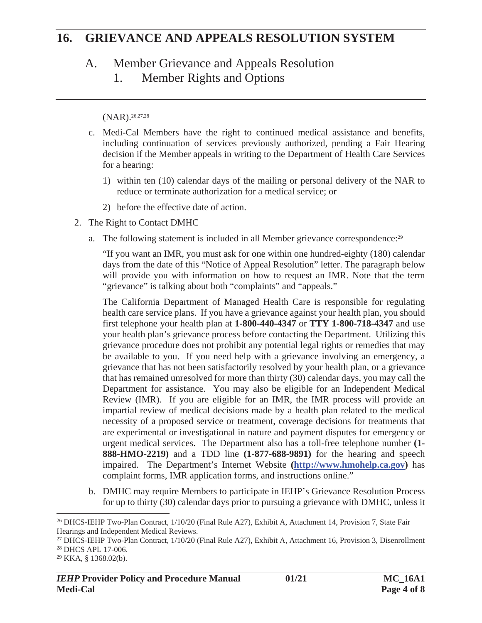#### A. Member Grievance and Appeals Resolution

1. Member Rights and Options

(NAR).26,27,28

- c. Medi-Cal Members have the right to continued medical assistance and benefits, including continuation of services previously authorized, pending a Fair Hearing decision if the Member appeals in writing to the Department of Health Care Services for a hearing:
	- 1) within ten (10) calendar days of the mailing or personal delivery of the NAR to reduce or terminate authorization for a medical service; or
	- 2) before the effective date of action.
- 2. The Right to Contact DMHC
	- a. The following statement is included in all Member grievance correspondence:29

"If you want an IMR, you must ask for one within one hundred-eighty (180) calendar days from the date of this "Notice of Appeal Resolution" letter. The paragraph below will provide you with information on how to request an IMR. Note that the term "grievance" is talking about both "complaints" and "appeals."

The California Department of Managed Health Care is responsible for regulating health care service plans. If you have a grievance against your health plan, you should first telephone your health plan at **1-800-440-4347** or **TTY 1-800-718-4347** and use your health plan's grievance process before contacting the Department. Utilizing this grievance procedure does not prohibit any potential legal rights or remedies that may be available to you. If you need help with a grievance involving an emergency, a grievance that has not been satisfactorily resolved by your health plan, or a grievance that has remained unresolved for more than thirty (30) calendar days, you may call the Department for assistance. You may also be eligible for an Independent Medical Review (IMR). If you are eligible for an IMR, the IMR process will provide an impartial review of medical decisions made by a health plan related to the medical necessity of a proposed service or treatment, coverage decisions for treatments that are experimental or investigational in nature and payment disputes for emergency or urgent medical services. The Department also has a toll-free telephone number **(1- 888-HMO-2219)** and a TDD line **(1-877-688-9891)** for the hearing and speech impaired. The Department's Internet Website **(http://www.hmohelp.ca.gov)** has complaint forms, IMR application forms, and instructions online."

b. DMHC may require Members to participate in IEHP's Grievance Resolution Process for up to thirty (30) calendar days prior to pursuing a grievance with DMHC, unless it

<sup>26</sup> DHCS-IEHP Two-Plan Contract, 1/10/20 (Final Rule A27), Exhibit A, Attachment 14, Provision 7, State Fair Hearings and Independent Medical Reviews.

<sup>27</sup> DHCS-IEHP Two-Plan Contract, 1/10/20 (Final Rule A27), Exhibit A, Attachment 16, Provision 3, Disenrollment 28 DHCS APL 17-006.

<sup>29</sup> KKA, § 1368.02(b).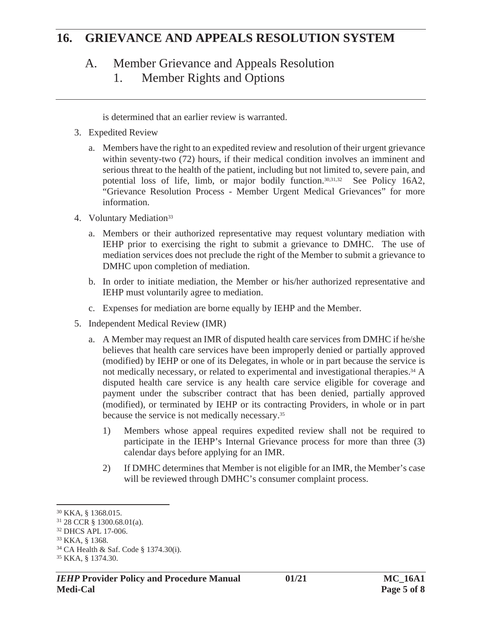#### A. Member Grievance and Appeals Resolution

1. Member Rights and Options

is determined that an earlier review is warranted.

- 3. Expedited Review
	- a. Members have the right to an expedited review and resolution of their urgent grievance within seventy-two (72) hours, if their medical condition involves an imminent and serious threat to the health of the patient, including but not limited to, severe pain, and potential loss of life, limb, or major bodily function.30,31,32 See Policy 16A2, "Grievance Resolution Process - Member Urgent Medical Grievances" for more information.
- 4. Voluntary Mediation<sup>33</sup>
	- a. Members or their authorized representative may request voluntary mediation with IEHP prior to exercising the right to submit a grievance to DMHC. The use of mediation services does not preclude the right of the Member to submit a grievance to DMHC upon completion of mediation.
	- b. In order to initiate mediation, the Member or his/her authorized representative and IEHP must voluntarily agree to mediation.
	- c. Expenses for mediation are borne equally by IEHP and the Member.
- 5. Independent Medical Review (IMR)
	- a. A Member may request an IMR of disputed health care services from DMHC if he/she believes that health care services have been improperly denied or partially approved (modified) by IEHP or one of its Delegates, in whole or in part because the service is not medically necessary, or related to experimental and investigational therapies.<sup>34</sup> A disputed health care service is any health care service eligible for coverage and payment under the subscriber contract that has been denied, partially approved (modified), or terminated by IEHP or its contracting Providers, in whole or in part because the service is not medically necessary.35
		- 1) Members whose appeal requires expedited review shall not be required to participate in the IEHP's Internal Grievance process for more than three (3) calendar days before applying for an IMR.
		- 2) If DMHC determines that Member is not eligible for an IMR, the Member's case will be reviewed through DMHC's consumer complaint process.

<sup>30</sup> KKA, § 1368.015.

<sup>31 28</sup> CCR § 1300.68.01(a).

<sup>32</sup> DHCS APL 17-006.

<sup>33</sup> KKA, § 1368.

<sup>34</sup> CA Health & Saf. Code § 1374.30(i).

<sup>35</sup> KKA, § 1374.30.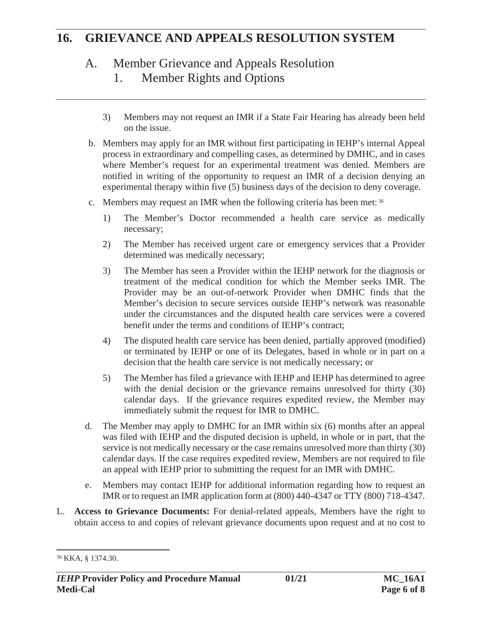#### A. Member Grievance and Appeals Resolution

- 1. Member Rights and Options
- 3) Members may not request an IMR if a State Fair Hearing has already been held on the issue.
- b. Members may apply for an IMR without first participating in IEHP's internal Appeal process in extraordinary and compelling cases, as determined by DMHC, and in cases where Member's request for an experimental treatment was denied. Members are notified in writing of the opportunity to request an IMR of a decision denying an experimental therapy within five (5) business days of the decision to deny coverage.
- c. Members may request an IMR when the following criteria has been met: 36
	- 1) The Member's Doctor recommended a health care service as medically necessary;
	- 2) The Member has received urgent care or emergency services that a Provider determined was medically necessary;
	- 3) The Member has seen a Provider within the IEHP network for the diagnosis or treatment of the medical condition for which the Member seeks IMR. The Provider may be an out-of-network Provider when DMHC finds that the Member's decision to secure services outside IEHP's network was reasonable under the circumstances and the disputed health care services were a covered benefit under the terms and conditions of IEHP's contract;
	- 4) The disputed health care service has been denied, partially approved (modified) or terminated by IEHP or one of its Delegates, based in whole or in part on a decision that the health care service is not medically necessary; or
	- 5) The Member has filed a grievance with IEHP and IEHP has determined to agree with the denial decision or the grievance remains unresolved for thirty (30) calendar days. If the grievance requires expedited review, the Member may immediately submit the request for IMR to DMHC.
- d. The Member may apply to DMHC for an IMR within six (6) months after an appeal was filed with IEHP and the disputed decision is upheld, in whole or in part, that the service is not medically necessary or the case remains unresolved more than thirty (30) calendar days. If the case requires expedited review, Members are not required to file an appeal with IEHP prior to submitting the request for an IMR with DMHC.
- e. Members may contact IEHP for additional information regarding how to request an IMR or to request an IMR application form at (800) 440-4347 or TTY (800) 718-4347.
- L. **Access to Grievance Documents:** For denial-related appeals, Members have the right to obtain access to and copies of relevant grievance documents upon request and at no cost to

<sup>36</sup> KKA, § 1374.30.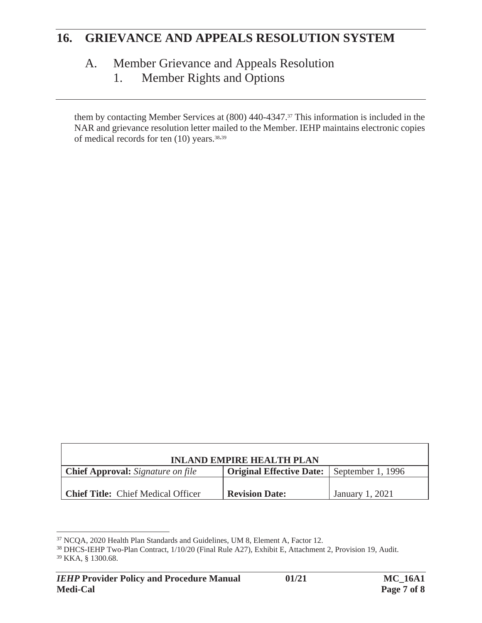## A. Member Grievance and Appeals Resolution

1. Member Rights and Options

them by contacting Member Services at (800) 440-4347.37 This information is included in the NAR and grievance resolution letter mailed to the Member. IEHP maintains electronic copies of medical records for ten (10) years.38,39

| <b>INLAND EMPIRE HEALTH PLAN</b>          |                                                   |                 |
|-------------------------------------------|---------------------------------------------------|-----------------|
| <b>Chief Approval:</b> Signature on file  | <b>Original Effective Date:</b> September 1, 1996 |                 |
|                                           |                                                   |                 |
| <b>Chief Title:</b> Chief Medical Officer | <b>Revision Date:</b>                             | January 1, 2021 |

<sup>37</sup> NCQA, 2020 Health Plan Standards and Guidelines, UM 8, Element A, Factor 12.

<sup>38</sup> DHCS-IEHP Two-Plan Contract, 1/10/20 (Final Rule A27), Exhibit E, Attachment 2, Provision 19, Audit. 39 KKA, § 1300.68.